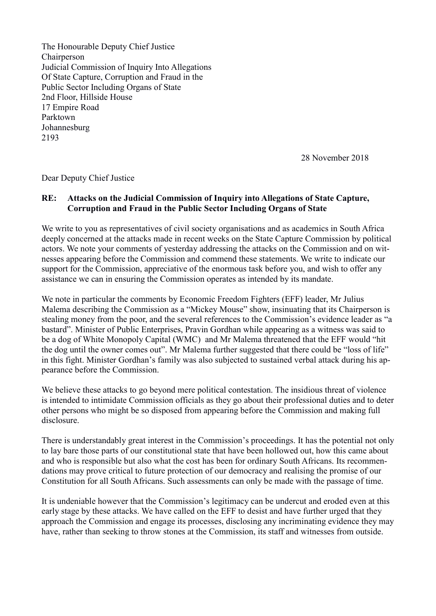The Honourable Deputy Chief Justice Chairperson Judicial Commission of Inquiry Into Allegations Of State Capture, Corruption and Fraud in the Public Sector Including Organs of State 2nd Floor, Hillside House 17 Empire Road Parktown Johannesburg 2193

28 November 2018

Dear Deputy Chief Justice

## **RE: Attacks on the Judicial Commission of Inquiry into Allegations of State Capture, Corruption and Fraud in the Public Sector Including Organs of State**

We write to you as representatives of civil society organisations and as academics in South Africa deeply concerned at the attacks made in recent weeks on the State Capture Commission by political actors. We note your comments of yesterday addressing the attacks on the Commission and on witnesses appearing before the Commission and commend these statements. We write to indicate our support for the Commission, appreciative of the enormous task before you, and wish to offer any assistance we can in ensuring the Commission operates as intended by its mandate.

We note in particular the comments by Economic Freedom Fighters (EFF) leader, Mr Julius Malema describing the Commission as a "Mickey Mouse" show, insinuating that its Chairperson is stealing money from the poor, and the several references to the Commission's evidence leader as "a bastard". Minister of Public Enterprises, Pravin Gordhan while appearing as a witness was said to be a dog of White Monopoly Capital (WMC) and Mr Malema threatened that the EFF would "hit the dog until the owner comes out". Mr Malema further suggested that there could be "loss of life" in this fight. Minister Gordhan's family was also subjected to sustained verbal attack during his appearance before the Commission.

We believe these attacks to go beyond mere political contestation. The insidious threat of violence is intended to intimidate Commission officials as they go about their professional duties and to deter other persons who might be so disposed from appearing before the Commission and making full disclosure.

There is understandably great interest in the Commission's proceedings. It has the potential not only to lay bare those parts of our constitutional state that have been hollowed out, how this came about and who is responsible but also what the cost has been for ordinary South Africans. Its recommendations may prove critical to future protection of our democracy and realising the promise of our Constitution for all South Africans. Such assessments can only be made with the passage of time.

It is undeniable however that the Commission's legitimacy can be undercut and eroded even at this early stage by these attacks. We have called on the EFF to desist and have further urged that they approach the Commission and engage its processes, disclosing any incriminating evidence they may have, rather than seeking to throw stones at the Commission, its staff and witnesses from outside.